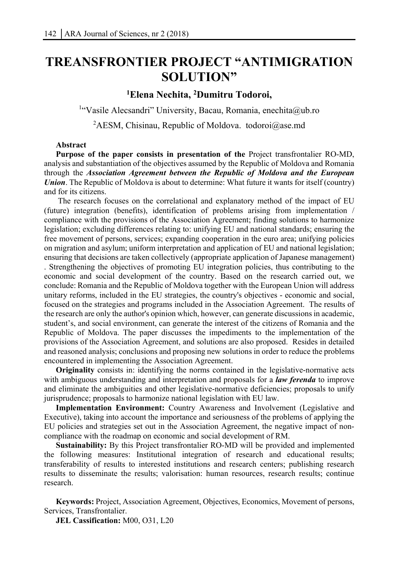# **TREANSFRONTIER PROJECT "ANTIMIGRATION SOLUTION"**

## **1 Elena Nechita, 2 Dumitru Todoroi,**

<sup>1</sup>"Vasile Alecsandri" University, Bacau, Romania, enechita@ub.ro

<sup>2</sup>AESM, Chisinau, Republic of Moldova. todoroi@ase.md

## **Abstract**

**Purpose of the paper consists in presentation of the** Project transfrontalier RO-MD, analysis and substantiation of the objectives assumed by the Republic of Moldova and Romania through the *Association Agreement between the Republic of Moldova and the European Union*. The Republic of Moldova is about to determine: What future it wants for itself (country) and for its citizens.

The research focuses on the correlational and explanatory method of the impact of EU (future) integration (benefits), identification of problems arising from implementation / compliance with the provisions of the Association Agreement; finding solutions to harmonize legislation; excluding differences relating to: unifying EU and national standards; ensuring the free movement of persons, services; expanding cooperation in the euro area; unifying policies on migration and asylum; uniform interpretation and application of EU and national legislation; ensuring that decisions are taken collectively (appropriate application of Japanese management) . Strengthening the objectives of promoting EU integration policies, thus contributing to the economic and social development of the country. Based on the research carried out, we conclude: Romania and the Republic of Moldova together with the European Union will address unitary reforms, included in the EU strategies, the country's objectives - economic and social, focused on the strategies and programs included in the Association Agreement. The results of the research are only the author's opinion which, however, can generate discussions in academic, student's, and social environment, can generate the interest of the citizens of Romania and the Republic of Moldova. The paper discusses the impediments to the implementation of the provisions of the Association Agreement, and solutions are also proposed. Resides in detailed and reasoned analysis; conclusions and proposing new solutions in order to reduce the problems encountered in implementing the Association Agreement.

**Originality** consists in: identifying the norms contained in the legislative-normative acts with ambiguous understanding and interpretation and proposals for a *law ferenda* to improve and eliminate the ambiguities and other legislative-normative deficiencies; proposals to unify jurisprudence; proposals to harmonize national legislation with EU law.

**Implementation Environment:** Country Awareness and Involvement (Legislative and Executive), taking into account the importance and seriousness of the problems of applying the EU policies and strategies set out in the Association Agreement, the negative impact of noncompliance with the roadmap on economic and social development of RM.

**Sustainability:** By this Project transfrontalier RO-MD will be provided and implemented the following measures: Institutional integration of research and educational results; transferability of results to interested institutions and research centers; publishing research results to disseminate the results; valorisation: human resources, research results; continue research.

**Keywords:** Project, Association Agreement, Objectives, Economics, Movement of persons, Services, Transfrontalier.

**JEL Cassification:** M00, O31, L20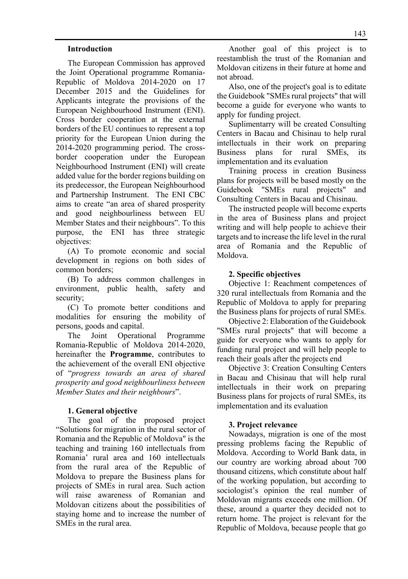#### **Introduction**

The European Commission has approved the Joint Operational programme Romania-Republic of Moldova 2014-2020 on 17 December 2015 and the Guidelines for Applicants integrate the provisions of the European Neighbourhood Instrument (ENI). Cross border cooperation at the external borders of the EU continues to represent a top priority for the European Union during the 2014-2020 programming period. The crossborder cooperation under the European Neighbourhood Instrument (ENI) will create added value for the border regions building on its predecessor, the European Neighbourhood and Partnership Instrument. The ENI CBC aims to create "an area of shared prosperity and good neighbourliness between EU Member States and their neighbours". To this purpose, the ENI has three strategic objectives:

(A) To promote economic and social development in regions on both sides of common borders;

(B) To address common challenges in environment, public health, safety and security;

(C) To promote better conditions and modalities for ensuring the mobility of persons, goods and capital.

The Joint Operational Programme Romania-Republic of Moldova 2014-2020, hereinafter the **Programme**, contributes to the achievement of the overall ENI objective of "*progress towards an area of shared prosperity and good neighbourliness between Member States and their neighbours*".

#### **1. General objective**

The goal of the proposed project "Solutions for migration in the rural sector of Romania and the Republic of Moldova" is the teaching and training 160 intellectuals from Romania' rural area and 160 intellectuals from the rural area of the Republic of Moldova to prepare the Business plans for projects of SMEs in rural area. Such action will raise awareness of Romanian and Moldovan citizens about the possibilities of staying home and to increase the number of SMEs in the rural area.

Another goal of this project is to reestamblish the trust of the Romanian and Moldovan citizens in their future at home and not abroad.

Also, one of the project's goal is to editate the Guidebook "SMEs rural projects" that will become a guide for everyone who wants to apply for funding project.

Suplimentarry will be created Consulting Centers in Bacau and Chisinau to help rural intellectuals in their work on preparing Business plans for rural SMEs, its implementation and its evaluation

Training process in creation Business plans for projects will be based mostly on the Guidebook "SMEs rural projects" and Consulting Centers in Bacau and Chisinau.

The instructed people will become experts in the area of Business plans and project writing and will help people to achieve their targets and to increase the life level in the rural area of Romania and the Republic of Moldova.

#### **2. Specific objectives**

Objective 1: Reachment competences of 320 rural intellectuals from Romania and the Republic of Moldova to apply for preparing the Business plans for projects of rural SMEs.

Objective 2: Elaboration of the Guidebook "SMEs rural projects" that will become a guide for everyone who wants to apply for funding rural project and will help people to reach their goals after the projects end

Objective 3: Creation Consulting Centers in Bacau and Chisinau that will help rural intellectuals in their work on preparing Business plans for projects of rural SMEs, its implementation and its evaluation

#### **3. Project relevance**

Nowadays, migration is one of the most pressing problems facing the Republic of Moldova. According to World Bank data, in our country are working abroad about 700 thousand citizens, which constitute about half of the working population, but according to sociologist's opinion the real number of Moldovan migrants exceeds one million. Of these, around a quarter they decided not to return home. The project is relevant for the Republic of Moldova, because people that go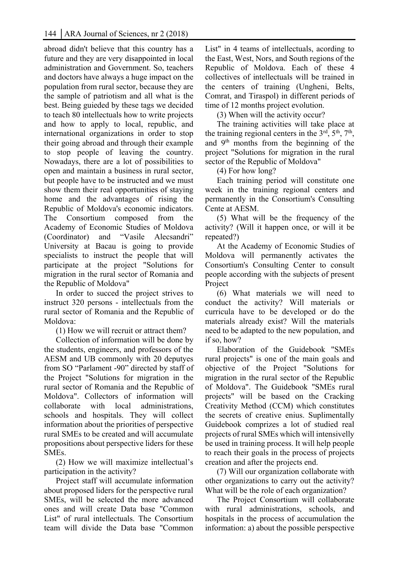abroad didn't believe that this country has a future and they are very disappointed in local administration and Government. So, teachers and doctors have always a huge impact on the population from rural sector, because they are the sample of patriotism and all what is the best. Being guieded by these tags we decided to teach 80 intellectuals how to write projects and how to apply to local, republic, and international organizations in order to stop their going abroad and through their example to stop people of leaving the country. Nowadays, there are a lot of possibilities to open and maintain a business in rural sector, but people have to be instructed and we must show them their real opportunities of staying home and the advantages of rising the Republic of Moldova's economic indicators. The Consortium composed from the Academy of Economic Studies of Moldova (Coordinator) and "Vasile Alecsandri" University at Bacau is going to provide specialists to instruct the people that will participate at the project "Solutions for migration in the rural sector of Romania and the Republic of Moldova"

In order to succed the project strives to instruct 320 persons - intellectuals from the rural sector of Romania and the Republic of Moldova:

(1) How we will recruit or attract them?

Collection of information will be done by the students, engineers, and professors of the AESM and UB commonly with 20 deputyes from SO "Parlament -90" directed by staff of the Project "Solutions for migration in the rural sector of Romania and the Republic of Moldova". Collectors of information will collaborate with local administrations, schools and hospitals. They will collect information about the priorities of perspective rural SMEs to be created and will accumulate propositions about perspective liders for these SMEs.

(2) How we will maximize intellectual's participation in the activity?

Project staff will accumulate information about proposed liders for the perspective rural SMEs, will be selected the more advanced ones and will create Data base "Common List" of rural intellectuals. The Consortium team will divide the Data base "Common

List" in 4 teams of intellectuals, acording to the East, West, Nors, and South regions of the Republic of Moldova. Each of these 4 collectives of intellectuals will be trained in the centers of training (Ungheni, Belts, Comrat, and Tiraspol) in different periods of time of 12 months project evolution.

(3) When will the activity occur?

The training activities will take place at the training regional centers in the  $3<sup>rd</sup>$ ,  $5<sup>th</sup>$ ,  $7<sup>th</sup>$ , and 9th months from the beginning of the project "Solutions for migration in the rural sector of the Republic of Moldova"

(4) For how long?

Each training period will constitute one week in the training regional centers and permanently in the Consortium's Consulting Cente at AESM.

(5) What will be the frequency of the activity? (Will it happen once, or will it be repeated?)

At the Academy of Economic Studies of Moldova will permanently activates the Consortium's Consulting Center to consult people according with the subjects of present Project

(6) What materials we will need to conduct the activity? Will materials or curricula have to be developed or do the materials already exist? Will the materials need to be adapted to the new population, and if so, how?

Elaboration of the Guidebook "SMEs rural projects" is one of the main goals and objective of the Project "Solutions for migration in the rural sector of the Republic of Moldova". The Guidebook "SMEs rural projects" will be based on the Cracking Creativity Method (CCM) which constitutes the secrets of creative enius. Suplimentally Guidebook comprizes a lot of studied real projects of rural SMEs which will intensivelly be used in training process. It will help people to reach their goals in the process of projects creation and after the projects end.

(7) Will our organization collaborate with other organizations to carry out the activity? What will be the role of each organization?

The Project Consortium will collaborate with rural administrations, schools, and hospitals in the process of accumulation the information: a) about the possible perspective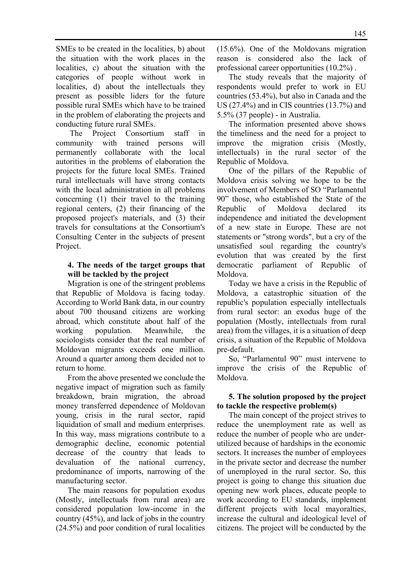SMEs to be created in the localities, b) about the situation with the work places in the localities, c) about the situation with the categories of people without work in localities, d) about the intellectuals they present as possible liders for the future possible rural SMEs which have to be trained in the problem of elaborating the projects and conducting future rural SMEs.

 The Project Consortium staff in community with trained persons will permanently collaborate with the local autorities in the problems of elaboration the projects for the future local SMEs. Trained rural intellectuals will have strong contacts with the local administration in all problems concerning (1) their travel to the training regional centers, (2) their financing of the proposed project's materials, and (3) their travels for consultations at the Consortium's Consulting Center in the subjects of present Project.

## **4. The needs of the target groups that will be tackled by the project**

Migration is one of the stringent problems that Republic of Moldova is facing today. According to World Bank data, in our country about 700 thousand citizens are working abroad, which constitute about half of the working population. Meanwhile, the sociologists consider that the real number of Moldovan migrants exceeds one million. Around a quarter among them decided not to return to home.

From the above presented we conclude the negative impact of migration such as family breakdown, brain migration, the abroad money transferred dependence of Moldovan young, crisis in the rural sector, rapid liquidation of small and medium enterprises. In this way, mass migrations contribute to a demographic decline, economic potential decrease of the country that leads to devaluation of the national currency, predominance of imports, narrowing of the manufacturing sector.

The main reasons for population exodus (Mostly, intellectuals from rural area) are considered population low-income in the country (45%), and lack of jobs in the country (24.5%) and poor condition of rural localities (15.6%). One of the Moldovans migration reason is considered also the lack of professional career opportunities (10.2%) .

The study reveals that the majority of respondents would prefer to work in EU countries (53.4%), but also in Canada and the US (27.4%) and in CIS countries (13.7%) and 5.5% (37 people) - in Australia.

The information presented above shows the timeliness and the need for a project to improve the migration crisis (Mostly, intellectuals) in the rural sector of the Republic of Moldova.

One of the pillars of the Republic of Moldova crisis solving we hope to be the involvement of Members of SO "Parlamentul 90" those, who established the State of the Republic of Moldova declared its independence and initiated the development of a new state in Europe. These are not statements or "strong words", but a cry of the unsatisfied soul regarding the country's evolution that was created by the first democratic parliament of Republic of Moldova.

Today we have a crisis in the Republic of Moldova, a catastrophic situation of the republic's population especially intellectuals from rural sector: an exodus huge of the population (Mostly, intellectuals from rural area) from the villages, it is a situation of deep crisis, a situation of the Republic of Moldova pre-default.

So, "Parlamentul 90" must intervene to improve the crisis of the Republic of Moldova.

## **5. The solution proposed by the project to tackle the respective problem(s)**

The main concept of the project strives to reduce the unemployment rate as well as reduce the number of people who are underutilized because of hardships in the economic sectors. It increases the number of employees in the private sector and decrease the number of unemployed in the rural sector. So, this project is going to change this situation due opening new work places, educate people to work according to EU standards, implement different projects with local mayoralties, increase the cultural and ideological level of citizens. The project will be conducted by the